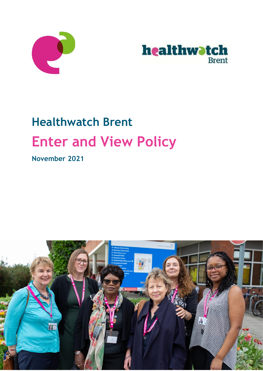



# **Healthwatch Brent Enter and View Policy**

**November 2021**

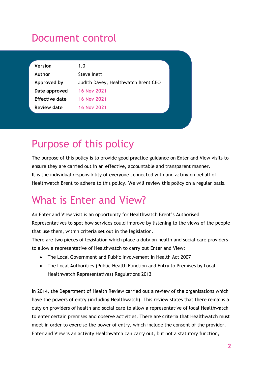# Document control

| <b>Version</b>        | 1.0                                 |  |
|-----------------------|-------------------------------------|--|
| Author                | Steve Inett                         |  |
| Approved by           | Judith Davey, Healthwatch Brent CEO |  |
| Date approved         | <b>16 Nov 2021</b>                  |  |
| <b>Effective date</b> | <b>16 Nov 2021</b>                  |  |
| <b>Review date</b>    | <b>16 Nov 2021</b>                  |  |
|                       |                                     |  |

# Purpose of this policy

The purpose of this policy is to provide good practice guidance on Enter and View visits to ensure they are carried out in an effective, accountable and transparent manner. It is the individual responsibility of everyone connected with and acting on behalf of Healthwatch Brent to adhere to this policy. We will review this policy on a regular basis.

# What is Enter and View?

An Enter and View visit is an opportunity for Healthwatch Brent's Authorised Representatives to spot how services could improve by listening to the views of the people that use them, within criteria set out in the legislation.

There are two pieces of legislation which place a duty on health and social care providers to allow a representative of Healthwatch to carry out Enter and View:

- The Local Government and Public Involvement in Health Act 2007
- The Local Authorities (Public Health Function and Entry to Premises by Local Healthwatch Representatives) Regulations 2013

In 2014, the Department of Health Review carried out a review of the organisations which have the powers of entry (including Healthwatch). This review states that there remains a duty on providers of health and social care to allow a representative of local Healthwatch to enter certain premises and observe activities. There are criteria that Healthwatch must meet in order to exercise the power of entry, which include the consent of the provider. Enter and View is an activity Healthwatch can carry out, but not a statutory function,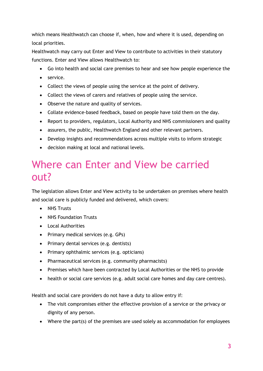which means Healthwatch can choose if, when, how and where it is used, depending on local priorities.

Healthwatch may carry out Enter and View to contribute to activities in their statutory functions. Enter and View allows Healthwatch to:

- Go into health and social care premises to hear and see how people experience the
- service.
- Collect the views of people using the service at the point of delivery.
- Collect the views of carers and relatives of people using the service.
- Observe the nature and quality of services.
- Collate evidence-based feedback, based on people have told them on the day.
- Report to providers, regulators, Local Authority and NHS commissioners and quality
- assurers, the public, Healthwatch England and other relevant partners.
- Develop insights and recommendations across multiple visits to inform strategic
- decision making at local and national levels.

### Where can Enter and View be carried out?

The legislation allows Enter and View activity to be undertaken on premises where health and social care is publicly funded and delivered, which covers:

- NHS Trusts
- NHS Foundation Trusts
- Local Authorities
- Primary medical services (e.g. GPs)
- Primary dental services (e.g. dentists)
- Primary ophthalmic services (e.g. opticians)
- Pharmaceutical services (e.g. community pharmacists)
- Premises which have been contracted by Local Authorities or the NHS to provide
- health or social care services (e.g. adult social care homes and day care centres).

Health and social care providers do not have a duty to allow entry if:

- The visit compromises either the effective provision of a service or the privacy or dignity of any person.
- Where the part(s) of the premises are used solely as accommodation for employees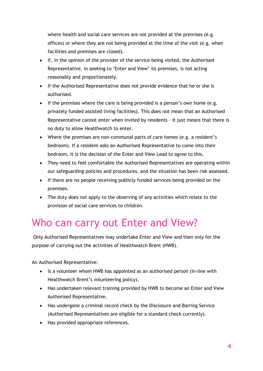where health and social care services are not provided at the premises (e.g. offices) or where they are not being provided at the time of the visit (e.g. when facilities and premises are closed).

- If, in the opinion of the provider of the service being visited, the Authorised Representative, in seeking to 'Enter and View' its premises, is not acting reasonably and proportionately.
- If the Authorised Representative does not provide evidence that he or she is authorised.
- If the premises where the care is being provided is a person's own home (e.g. privately funded assisted living facilities). This does not mean that an Authorised Representative cannot enter when invited by residents – it just means that there is no duty to allow Healthwatch to enter.
- Where the premises are non-communal parts of care homes (e.g. a resident's bedroom). If a resident asks an Authorised Representative to come into their bedroom, it is the decision of the Enter and View Lead to agree to this.
- They need to feel comfortable the Authorised Representatives are operating within our safeguarding policies and procedures, and the situation has been risk assessed.
- If there are no people receiving publicly funded services being provided on the premises.
- The duty does not apply to the observing of any activities which relate to the provision of social care services to children.

# Who can carry out Enter and View?

Only Authorised Representatives may undertake Enter and View and then only for the purpose of carrying out the activities of Healthwatch Brent (HWB).

An Authorised Representative:

- Is a volunteer whom HWB has appointed as an authorised person (in-line with Healthwatch Brent's volunteering policy).
- Has undertaken relevant training provided by HWB to become an Enter and View Authorised Representative.
- Has undergone a criminal record check by the Disclosure and Barring Service (Authorised Representatives are eligible for a standard check currently).
- Has provided appropriate references.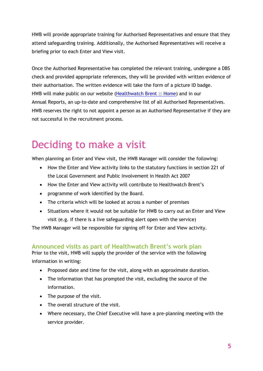HWB will provide appropriate training for Authorised Representatives and ensure that they attend safeguarding training. Additionally, the Authorised Representatives will receive a briefing prior to each Enter and View visit.

Once the Authorised Representative has completed the relevant training, undergone a DBS check and provided appropriate references, they will be provided with written evidence of their authorisation. The written evidence will take the form of a picture ID badge. HWB will make public on our website [\(Healthwatch Brent :: Home\)](https://www.healthwatchbrent.co.uk/) and in our Annual Reports, an up-to-date and comprehensive list of all Authorised Representatives. HWB reserves the right to not appoint a person as an Authorised Representative if they are not successful in the recruitment process.

# Deciding to make a visit

When planning an Enter and View visit, the HWB Manager will consider the following:

- How the Enter and View activity links to the statutory functions in section 221 of the Local Government and Public Involvement in Health Act 2007
- How the Enter and View activity will contribute to Healthwatch Brent's
- programme of work identified by the Board.
- The criteria which will be looked at across a number of premises
- Situations where it would not be suitable for HWB to carry out an Enter and View visit (e.g. if there is a live safeguarding alert open with the service)

The HWB Manager will be responsible for signing off for Enter and View activity.

### **Announced visits as part of Healthwatch Brent's work plan**

Prior to the visit, HWB will supply the provider of the service with the following information in writing:

- Proposed date and time for the visit, along with an approximate duration.
- The information that has prompted the visit, excluding the source of the information.
- The purpose of the visit.
- The overall structure of the visit.
- Where necessary, the Chief Executive will have a pre-planning meeting with the service provider.